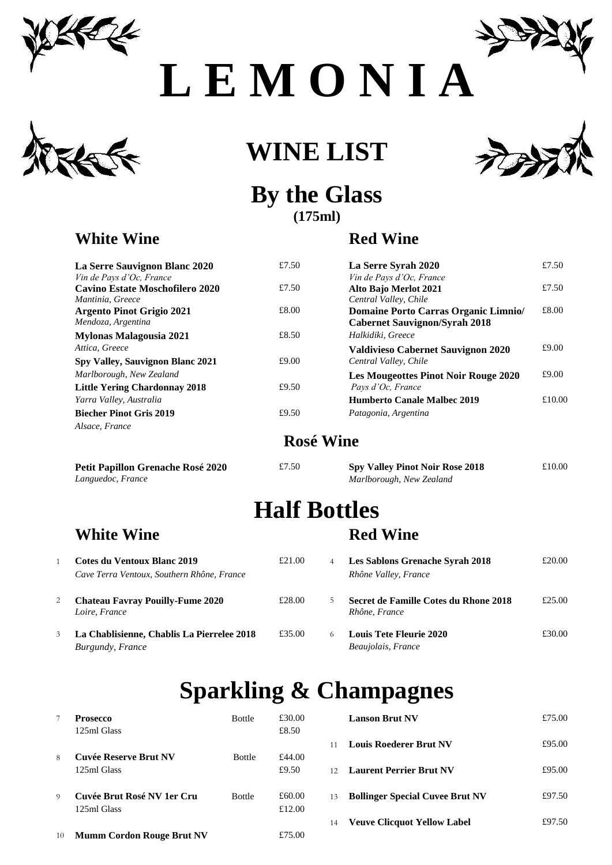

**L E M O N I A** 







#### **By the Glass (175ml)**

#### **White Wine Red Wine**

| La Serre Sauvignon Blanc 2020        | £7.50 | La Serre Syrah 2020          |
|--------------------------------------|-------|------------------------------|
| Vin de Pays d'Oc, France             |       | Vin de Pays d'Oc, France     |
| Cavino Estate Moschofilero 2020      | £7.50 | Alto Bajo Merlot 2021        |
| Mantinia, Greece                     |       | Central Valley, Chile        |
| <b>Argento Pinot Grigio 2021</b>     | £8.00 | <b>Domaine Porto Carra</b>   |
| Mendoza, Argentina                   |       | <b>Cabernet Sauvignon/S</b>  |
| <b>Mylonas Malagousia 2021</b>       | £8.50 | Halkidiki, Greece            |
| Attica, Greece                       |       | <b>Valdivieso Cabernet S</b> |
| Spy Valley, Sauvignon Blanc 2021     | £9.00 | Central Valley, Chile        |
| Marlborough, New Zealand             |       | <b>Les Mougeottes Pinot</b>  |
| <b>Little Yering Chardonnay 2018</b> | £9.50 | Pays d'Oc, France            |
| Yarra Valley, Australia              |       | <b>Humberto Canale Mall</b>  |
| <b>Biecher Pinot Gris 2019</b>       | £9.50 | Patagonia, Argentina         |
| Alsace, France                       |       |                              |
|                                      |       |                              |

**Petit Papillon Grenache Rosé 2020** *Languedoc, France* 

| <b>La Serre Sauvignon Blanc 2020</b> | £7.50 | La Serre Syrah 2020                         | £7.50  |
|--------------------------------------|-------|---------------------------------------------|--------|
| Vin de Pays d'Oc, France             |       | Vin de Pays d'Oc. France                    |        |
| Cavino Estate Moschofilero 2020      | £7.50 | <b>Alto Bajo Merlot 2021</b>                | £7.50  |
| Mantinia, Greece                     |       | Central Valley, Chile                       |        |
| <b>Argento Pinot Grigio 2021</b>     | £8.00 | Domaine Porto Carras Organic Limnio/        | £8.00  |
| Mendoza, Argentina                   |       | <b>Cabernet Sauvignon/Syrah 2018</b>        |        |
| Mylonas Malagousia 2021              | £8.50 | Halkidiki, Greece                           |        |
| Attica, Greece                       |       | Valdivieso Cabernet Sauvignon 2020          | £9.00  |
| Spy Valley, Sauvignon Blanc 2021     | £9.00 | Central Valley, Chile                       |        |
| Marlborough, New Zealand             |       | <b>Les Mougeottes Pinot Noir Rouge 2020</b> | £9.00  |
| <b>Little Yering Chardonnay 2018</b> | £9.50 | Pays d'Oc, France                           |        |
| Yarra Valley, Australia              |       | <b>Humberto Canale Malbec 2019</b>          | £10.00 |
| <b>Biecher Pinot Gris 2019</b>       | £9.50 | Patagonia, Argentina                        |        |

#### **Rosé Wine**

| £7.50 | <b>Spy Valley Pinot Noir Rose 2018</b> | £10.00 |
|-------|----------------------------------------|--------|
|       | Marlborough, New Zealand               |        |

# **Half Bottles**

#### **White Wine Red Wine**

| 1 | Cotes du Ventoux Blanc 2019                |
|---|--------------------------------------------|
|   | Cave Terra Ventoux, Southern Rhône, France |
| 2 | <b>Chateau Favray Pouilly-Fume 2020</b>    |
|   | Loire, France                              |

|   | Cotes du Ventoux Blanc 2019<br>Cave Terra Ventoux, Southern Rhône, France | £21.00 | $\overline{4}$ | <b>Les Sablons Grenache Syrah 2018</b><br>Rhône Valley, France | £20.00 |
|---|---------------------------------------------------------------------------|--------|----------------|----------------------------------------------------------------|--------|
|   | <b>Chateau Favray Pouilly-Fume 2020</b><br>Loire, France                  | £28.00 |                | Secret de Famille Cotes du Rhone 2018<br>Rhône, France         | £25.00 |
| 3 | La Chablisienne, Chablis La Pierrelee 2018<br>Burgundy, France            | £35.00 |                | <b>Louis Tete Fleurie 2020</b><br>Beaujolais, France           | £30.00 |

## **Sparkling & Champagnes**

|          | <b>Prosecco</b>                  | <b>Bottle</b> | £30.00 |    | <b>Lanson Brut NV</b>                  | £75.00 |
|----------|----------------------------------|---------------|--------|----|----------------------------------------|--------|
|          | 125ml Glass                      |               | £8.50  |    |                                        |        |
|          |                                  |               |        |    | <b>Louis Roederer Brut NV</b>          | £95.00 |
| 8        | <b>Cuvée Reserve Brut NV</b>     | <b>Bottle</b> | £44.00 |    |                                        |        |
|          | 125ml Glass                      |               | £9.50  |    | <b>Laurent Perrier Brut NV</b>         | £95.00 |
| $\Omega$ | Cuvée Brut Rosé NV 1er Cru       | <b>Bottle</b> | £60.00 | 13 | <b>Bollinger Special Cuvee Brut NV</b> | £97.50 |
|          | 125ml Glass                      |               | £12.00 |    |                                        |        |
|          |                                  |               |        | 14 | <b>Veuve Clicquot Yellow Label</b>     | £97.50 |
| 10       | <b>Mumm Cordon Rouge Brut NV</b> |               | £75.00 |    |                                        |        |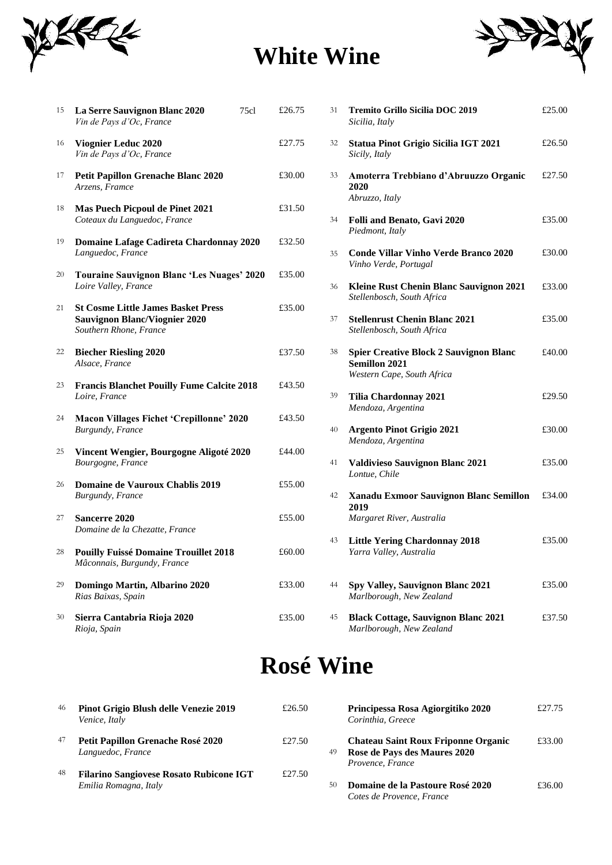

## **White Wine**



| 15 | La Serre Sauvignon Blanc 2020<br>Vin de Pays d'Oc, France                                                   | 75c1 | £26.75 | 31 | <b>Tremito Grillo Sicilia DOC 2019</b><br>Sicilia, Italy                                            | £25.00 |
|----|-------------------------------------------------------------------------------------------------------------|------|--------|----|-----------------------------------------------------------------------------------------------------|--------|
| 16 | <b>Viognier Leduc 2020</b><br>Vin de Pays d'Oc, France                                                      |      | £27.75 | 32 | <b>Statua Pinot Grigio Sicilia IGT 2021</b><br>Sicily, Italy                                        | £26.50 |
| 17 | <b>Petit Papillon Grenache Blanc 2020</b><br>Arzens, Framce                                                 |      | £30.00 | 33 | Amoterra Trebbiano d'Abruuzzo Organic<br>2020<br>Abruzzo, Italy                                     | £27.50 |
| 18 | Mas Puech Picpoul de Pinet 2021<br>Coteaux du Languedoc, France                                             |      | £31.50 | 34 | Folli and Benato, Gavi 2020                                                                         | £35.00 |
| 19 | Domaine Lafage Cadireta Chardonnay 2020                                                                     |      | £32.50 |    | Piedmont, Italy                                                                                     |        |
| 20 | Languedoc, France<br><b>Touraine Sauvignon Blanc 'Les Nuages' 2020</b>                                      |      | £35.00 | 35 | <b>Conde Villar Vinho Verde Branco 2020</b><br>Vinho Verde, Portugal                                | £30.00 |
|    | Loire Valley, France                                                                                        |      |        | 36 | Kleine Rust Chenin Blanc Sauvignon 2021<br>Stellenbosch, South Africa                               | £33.00 |
| 21 | <b>St Cosme Little James Basket Press</b><br><b>Sauvignon Blanc/Viognier 2020</b><br>Southern Rhone, France |      | £35.00 | 37 | <b>Stellenrust Chenin Blanc 2021</b><br>Stellenbosch, South Africa                                  | £35.00 |
| 22 | <b>Biecher Riesling 2020</b><br>Alsace, France                                                              |      | £37.50 | 38 | <b>Spier Creative Block 2 Sauvignon Blanc</b><br><b>Semillon 2021</b><br>Western Cape, South Africa | £40.00 |
| 23 | <b>Francis Blanchet Pouilly Fume Calcite 2018</b><br>Loire, France                                          |      | £43.50 | 39 | <b>Tilia Chardonnay 2021</b>                                                                        | £29.50 |
| 24 | <b>Macon Villages Fichet 'Crepillonne' 2020</b><br><b>Burgundy</b> , France                                 |      | £43.50 | 40 | Mendoza, Argentina<br><b>Argento Pinot Grigio 2021</b>                                              | £30.00 |
| 25 | Vincent Wengier, Bourgogne Aligoté 2020<br>Bourgogne, France                                                |      | £44.00 | 41 | Mendoza, Argentina<br><b>Valdivieso Sauvignon Blanc 2021</b>                                        | £35.00 |
| 26 | Domaine de Vauroux Chablis 2019<br><b>Burgundy</b> , France                                                 |      | £55.00 | 42 | Lontue, Chile<br>Xanadu Exmoor Sauvignon Blanc Semillon                                             | £34.00 |
| 27 | <b>Sancerre 2020</b><br>Domaine de la Chezatte, France                                                      |      | £55.00 |    | 2019<br>Margaret River, Australia                                                                   |        |
| 28 | <b>Pouilly Fuissé Domaine Trouillet 2018</b><br>Mâconnais, Burgundy, France                                 |      | £60.00 | 43 | <b>Little Yering Chardonnay 2018</b><br>Yarra Valley, Australia                                     | £35.00 |
| 29 | Domingo Martin, Albarino 2020<br>Rias Baixas, Spain                                                         |      | £33.00 | 44 | Spy Valley, Sauvignon Blanc 2021<br>Marlborough, New Zealand                                        | £35.00 |
| 30 | Sierra Cantabria Rioja 2020<br>Rioja, Spain                                                                 |      | £35.00 | 45 | <b>Black Cottage, Sauvignon Blanc 2021</b><br>Marlborough, New Zealand                              | £37.50 |

| La Serre Sauvignon Blanc 2020<br>Vin de Pays d'Oc, France                      | 75c1 | £26.75 | 31 | <b>Tremito Grillo Sicilia DOC 2019</b><br>Sicilia, Italy                                            | £25.00 |
|--------------------------------------------------------------------------------|------|--------|----|-----------------------------------------------------------------------------------------------------|--------|
| Viognier Leduc 2020<br>Vin de Pays d'Oc, France                                |      | £27.75 | 32 | <b>Statua Pinot Grigio Sicilia IGT 2021</b><br>Sicily, Italy                                        | £26.50 |
| <b>Petit Papillon Grenache Blanc 2020</b><br>Arzens, Framce                    |      | £30.00 | 33 | Amoterra Trebbiano d'Abruuzzo Organic<br>2020                                                       | £27.50 |
| <b>Mas Puech Picpoul de Pinet 2021</b><br>Coteaux du Languedoc, France         |      | £31.50 | 34 | Abruzzo, Italy<br><b>Folli and Benato, Gavi 2020</b>                                                | £35.00 |
| Domaine Lafage Cadireta Chardonnay 2020<br>Languedoc, France                   |      | £32.50 | 35 | Piedmont, Italy<br><b>Conde Villar Vinho Verde Branco 2020</b>                                      | £30.00 |
| Touraine Sauvignon Blanc 'Les Nuages' 2020<br>Loire Valley, France             |      | £35.00 | 36 | Vinho Verde, Portugal<br>Kleine Rust Chenin Blanc Sauvignon 2021                                    | £33.00 |
| <b>St Cosme Little James Basket Press</b>                                      |      | £35.00 |    | Stellenbosch, South Africa                                                                          |        |
| <b>Sauvignon Blanc/Viognier 2020</b><br>Southern Rhone, France                 |      |        | 37 | <b>Stellenrust Chenin Blanc 2021</b><br>Stellenbosch, South Africa                                  | £35.00 |
| <b>Biecher Riesling 2020</b><br>Alsace, France                                 |      | £37.50 | 38 | <b>Spier Creative Block 2 Sauvignon Blanc</b><br><b>Semillon 2021</b><br>Western Cape, South Africa | £40.00 |
| <b>Francis Blanchet Pouilly Fume Calcite 2018</b><br>Loire, France             |      | £43.50 | 39 | Tilia Chardonnay 2021                                                                               | £29.50 |
| <b>Macon Villages Fichet 'Crepillonne' 2020</b><br><b>Burgundy, France</b>     |      | £43.50 | 40 | Mendoza, Argentina<br><b>Argento Pinot Grigio 2021</b>                                              | £30.00 |
| Vincent Wengier, Bourgogne Aligoté 2020<br>Bourgogne, France                   |      | £44.00 | 41 | Mendoza, Argentina<br><b>Valdivieso Sauvignon Blanc 2021</b>                                        | £35.00 |
| Domaine de Vauroux Chablis 2019                                                |      | £55.00 |    | Lontue, Chile                                                                                       |        |
| Burgundy, France<br><b>Sancerre 2020</b>                                       |      | £55.00 | 42 | Xanadu Exmoor Sauvignon Blanc Semillon<br>2019<br>Margaret River, Australia                         | £34.00 |
| Domaine de la Chezatte, France<br><b>Pouilly Fuissé Domaine Trouillet 2018</b> |      | £60.00 | 43 | <b>Little Yering Chardonnay 2018</b>                                                                | £35.00 |
| Mâconnais, Burgundy, France                                                    |      |        |    | Yarra Valley, Australia                                                                             |        |
| Domingo Martin, Albarino 2020<br>Rias Baixas, Spain                            |      | £33.00 | 44 | <b>Spy Valley, Sauvignon Blanc 2021</b><br>Marlborough, New Zealand                                 | £35.00 |
| Sierra Cantabria Rioja 2020<br>Rioja, Spain                                    |      | £35.00 | 45 | <b>Black Cottage, Sauvignon Blanc 2021</b><br>Marlborough, New Zealand                              | £37.50 |

## **Rosé Wine**

| 46 | Pinot Grigio Blush delle Venezie 2019<br>Venice, Italy                  | £26.50 |    | Principessa Rosa Agiorgitiko 2020<br>Corinthia, Greece                                         | £27.75 |
|----|-------------------------------------------------------------------------|--------|----|------------------------------------------------------------------------------------------------|--------|
| 47 | Petit Papillon Grenache Rosé 2020<br>Languedoc, France                  | £27.50 | 49 | <b>Chateau Saint Roux Friponne Organic</b><br>Rose de Pays des Maures 2020<br>Provence, France | £33.00 |
| 48 | <b>Filarino Sangiovese Rosato Rubicone IGT</b><br>Emilia Romagna, Italy | £27.50 | 50 | Domaine de la Pastoure Rosé 2020<br>Cotes de Provence, France                                  | £36.00 |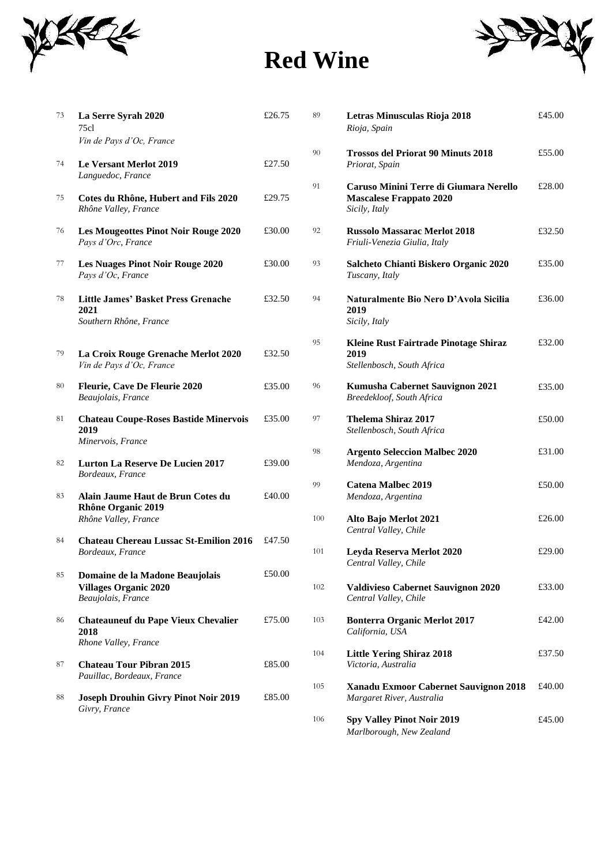

# **Red Wine**



| 73     | La Serre Syrah 2020<br>75cl                                                           | £26.75 | 89  | Letras Minusculas Rioja 2018<br>Rioja, Spain                                              | £45.00 |
|--------|---------------------------------------------------------------------------------------|--------|-----|-------------------------------------------------------------------------------------------|--------|
|        | Vin de Pays d'Oc, France                                                              |        |     |                                                                                           |        |
| 74     | <b>Le Versant Merlot 2019</b>                                                         | £27.50 | 90  | <b>Trossos del Priorat 90 Minuts 2018</b><br>Priorat, Spain                               | £55.00 |
| 75     | Languedoc, France<br>Cotes du Rhône, Hubert and Fils 2020<br>Rhône Valley, France     | £29.75 | 91  | Caruso Minini Terre di Giumara Nerello<br><b>Mascalese Frappato 2020</b><br>Sicily, Italy | £28.00 |
| 76     | <b>Les Mougeottes Pinot Noir Rouge 2020</b><br>Pays d'Orc, France                     | £30.00 | 92  | <b>Russolo Massarac Merlot 2018</b><br>Friuli-Venezia Giulia, Italy                       | £32.50 |
| 77     | <b>Les Nuages Pinot Noir Rouge 2020</b><br>Pays d'Oc, France                          | £30.00 | 93  | Salcheto Chianti Biskero Organic 2020<br>Tuscany, Italy                                   | £35.00 |
| 78     | <b>Little James' Basket Press Grenache</b><br>2021<br>Southern Rhône, France          | £32.50 | 94  | Naturalmente Bio Nero D'Avola Sicilia<br>2019<br>Sicily, Italy                            | £36.00 |
| 79     | La Croix Rouge Grenache Merlot 2020<br>Vin de Pays d'Oc, France                       | £32.50 | 95  | Kleine Rust Fairtrade Pinotage Shiraz<br>2019<br>Stellenbosch, South Africa               | £32.00 |
| $80\,$ | Fleurie, Cave De Fleurie 2020<br>Beaujolais, France                                   | £35.00 | 96  | Kumusha Cabernet Sauvignon 2021<br>Breedekloof, South Africa                              | £35.00 |
| 81     | <b>Chateau Coupe-Roses Bastide Minervois</b><br>2019<br>Minervois, France             | £35.00 | 97  | <b>Thelema Shiraz 2017</b><br>Stellenbosch, South Africa                                  | £50.00 |
| 82     | <b>Lurton La Reserve De Lucien 2017</b><br>Bordeaux, France                           | £39.00 | 98  | <b>Argento Seleccion Malbec 2020</b><br>Mendoza, Argentina                                | £31.00 |
| 83     | Alain Jaume Haut de Brun Cotes du<br>Rhône Organic 2019                               | £40.00 | 99  | <b>Catena Malbec 2019</b><br>Mendoza, Argentina                                           | £50.00 |
|        | Rhône Valley, France                                                                  |        | 100 | Alto Bajo Merlot 2021<br>Central Valley, Chile                                            | £26.00 |
| 84     | <b>Chateau Chereau Lussac St-Emilion 2016</b><br>Bordeaux, France                     | £47.50 | 101 | Leyda Reserva Merlot 2020<br>Central Valley, Chile                                        | £29.00 |
| 85     | Domaine de la Madone Beaujolais<br><b>Villages Organic 2020</b><br>Beaujolais, France | £50.00 | 102 | Valdivieso Cabernet Sauvignon 2020<br>Central Valley, Chile                               | £33.00 |
| 86     | <b>Chateauneuf du Pape Vieux Chevalier</b><br>2018                                    | £75.00 | 103 | <b>Bonterra Organic Merlot 2017</b><br>California, USA                                    | £42.00 |
| 87     | Rhone Valley, France<br><b>Chateau Tour Pibran 2015</b><br>Pauillac, Bordeaux, France | £85.00 | 104 | <b>Little Yering Shiraz 2018</b><br>Victoria, Australia                                   | £37.50 |
| 88     | <b>Joseph Drouhin Givry Pinot Noir 2019</b>                                           | £85.00 | 105 | Xanadu Exmoor Cabernet Sauvignon 2018<br>Margaret River, Australia                        | £40.00 |
|        | Givry, France                                                                         |        | 106 | <b>Car Volley Dinot Nois 2010</b>                                                         | 0.4500 |

| La Serre Syrah 2020<br>75cl                                                           | £26.75 | 89  | Letras Minusculas Rioja 2018<br>Rioja, Spain                                              | £45.00 |
|---------------------------------------------------------------------------------------|--------|-----|-------------------------------------------------------------------------------------------|--------|
| Vin de Pays d'Oc, France<br><b>Le Versant Merlot 2019</b>                             | £27.50 | 90  | <b>Trossos del Priorat 90 Minuts 2018</b><br>Priorat, Spain                               | £55.00 |
| Languedoc, France<br>Cotes du Rhône, Hubert and Fils 2020<br>Rhône Valley, France     | £29.75 | 91  | Caruso Minini Terre di Giumara Nerello<br><b>Mascalese Frappato 2020</b><br>Sicily, Italy | £28.00 |
| <b>Les Mougeottes Pinot Noir Rouge 2020</b><br>Pays d'Orc, France                     | £30.00 | 92  | <b>Russolo Massarac Merlot 2018</b><br>Friuli-Venezia Giulia, Italy                       | £32.50 |
| <b>Les Nuages Pinot Noir Rouge 2020</b><br>Pays d'Oc, France                          | £30.00 | 93  | Salcheto Chianti Biskero Organic 2020<br>Tuscany, Italy                                   | £35.00 |
| <b>Little James' Basket Press Grenache</b><br>2021<br>Southern Rhône, France          | £32.50 | 94  | Naturalmente Bio Nero D'Avola Sicilia<br>2019<br>Sicily, Italy                            | £36.00 |
| La Croix Rouge Grenache Merlot 2020<br>Vin de Pays d'Oc, France                       | £32.50 | 95  | Kleine Rust Fairtrade Pinotage Shiraz<br>2019<br>Stellenbosch, South Africa               | £32.00 |
| <b>Fleurie, Cave De Fleurie 2020</b><br>Beaujolais, France                            | £35.00 | 96  | Kumusha Cabernet Sauvignon 2021<br>Breedekloof, South Africa                              | £35.00 |
| <b>Chateau Coupe-Roses Bastide Minervois</b><br>2019                                  | £35.00 | 97  | <b>Thelema Shiraz 2017</b><br>Stellenbosch, South Africa                                  | £50.00 |
| Minervois, France<br><b>Lurton La Reserve De Lucien 2017</b><br>Bordeaux, France      | £39.00 | 98  | <b>Argento Seleccion Malbec 2020</b><br>Mendoza, Argentina                                | £31.00 |
| Alain Jaume Haut de Brun Cotes du<br><b>Rhône Organic 2019</b>                        | £40.00 | 99  | <b>Catena Malbec 2019</b><br>Mendoza, Argentina                                           | £50.00 |
| Rhône Valley, France                                                                  | £47.50 | 100 | Alto Bajo Merlot 2021<br>Central Valley, Chile                                            | £26.00 |
| <b>Chateau Chereau Lussac St-Emilion 2016</b><br>Bordeaux, France                     |        | 101 | Leyda Reserva Merlot 2020<br>Central Valley, Chile                                        | £29.00 |
| Domaine de la Madone Beaujolais<br><b>Villages Organic 2020</b><br>Beaujolais, France | £50.00 | 102 | <b>Valdivieso Cabernet Sauvignon 2020</b><br>Central Valley, Chile                        | £33.00 |
| <b>Chateauneuf du Pape Vieux Chevalier</b><br>2018<br>Rhone Valley, France            | £75.00 | 103 | <b>Bonterra Organic Merlot 2017</b><br>California, USA                                    | £42.00 |
| <b>Chateau Tour Pibran 2015</b><br>Pauillac, Bordeaux, France                         | £85.00 | 104 | <b>Little Yering Shiraz 2018</b><br>Victoria, Australia                                   | £37.50 |
| <b>Joseph Drouhin Givry Pinot Noir 2019</b><br>Givry, France                          | £85.00 | 105 | Xanadu Exmoor Cabernet Sauvignon 2018<br>Margaret River, Australia                        | £40.00 |
|                                                                                       |        | 106 | <b>Spy Valley Pinot Noir 2019</b><br>Marlborough, New Zealand                             | £45.00 |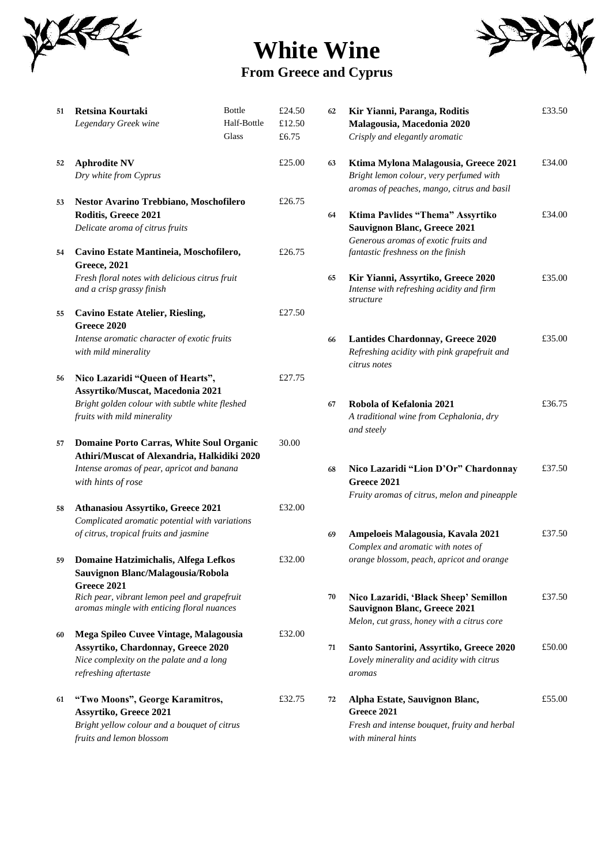

### **White Wine From Greece and Cyprus**



| 51 | Retsina Kourtaki<br>Legendary Greek wine                                                                                                                | <b>Bottle</b><br>Half-Bottle<br>Glass | £24.50<br>£12.50<br>£6.75 | 62 | Kir Yianni, Paranga, Roditis<br>Malagousia, Macedonia 2020<br>Crisply and elegantly aromatic                                  | £33.50 |
|----|---------------------------------------------------------------------------------------------------------------------------------------------------------|---------------------------------------|---------------------------|----|-------------------------------------------------------------------------------------------------------------------------------|--------|
| 52 | <b>Aphrodite NV</b><br>Dry white from Cyprus                                                                                                            |                                       | £25.00                    | 63 | Ktima Mylona Malagousia, Greece 2021<br>Bright lemon colour, very perfumed with<br>aromas of peaches, mango, citrus and basil | £34.00 |
| 53 | Nestor Avarino Trebbiano, Moschofilero<br>Roditis, Greece 2021<br>Delicate aroma of citrus fruits                                                       |                                       | £26.75                    | 64 | Ktima Pavlides "Thema" Assyrtiko<br><b>Sauvignon Blanc, Greece 2021</b>                                                       | £34.00 |
| 54 | Cavino Estate Mantineia, Moschofilero,<br><b>Greece, 2021</b>                                                                                           |                                       | £26.75                    |    | Generous aromas of exotic fruits and<br>fantastic freshness on the finish                                                     |        |
|    | Fresh floral notes with delicious citrus fruit<br>and a crisp grassy finish                                                                             |                                       |                           | 65 | Kir Yianni, Assyrtiko, Greece 2020<br>Intense with refreshing acidity and firm<br>structure                                   | £35.00 |
| 55 | <b>Cavino Estate Atelier, Riesling,</b><br>Greece 2020                                                                                                  |                                       | £27.50                    |    |                                                                                                                               |        |
|    | Intense aromatic character of exotic fruits<br>with mild minerality                                                                                     |                                       |                           | 66 | <b>Lantides Chardonnay, Greece 2020</b><br>Refreshing acidity with pink grapefruit and<br>citrus notes                        | £35.00 |
| 56 | Nico Lazaridi "Queen of Hearts",<br>Assyrtiko/Muscat, Macedonia 2021                                                                                    |                                       | £27.75                    |    |                                                                                                                               |        |
|    | Bright golden colour with subtle white fleshed<br>fruits with mild minerality                                                                           |                                       |                           | 67 | Robola of Kefalonia 2021<br>A traditional wine from Cephalonia, dry<br>and steely                                             | £36.75 |
| 57 | Domaine Porto Carras, White Soul Organic<br>Athiri/Muscat of Alexandria, Halkidiki 2020                                                                 |                                       | 30.00                     |    |                                                                                                                               |        |
|    | Intense aromas of pear, apricot and banana<br>with hints of rose                                                                                        |                                       |                           | 68 | Nico Lazaridi "Lion D'Or" Chardonnay<br>Greece 2021<br>Fruity aromas of citrus, melon and pineapple                           | £37.50 |
| 58 | Athanasiou Assyrtiko, Greece 2021<br>Complicated aromatic potential with variations                                                                     |                                       | £32.00                    |    |                                                                                                                               |        |
|    | of citrus, tropical fruits and jasmine                                                                                                                  |                                       |                           | 69 | Ampeloeis Malagousia, Kavala 2021<br>Complex and aromatic with notes of                                                       | £37.50 |
| 59 | Domaine Hatzimichalis, Alfega Lefkos<br>Sauvignon Blanc/Malagousia/Robola                                                                               |                                       | £32.00                    |    | orange blossom, peach, apricot and orange                                                                                     |        |
|    | Greece 2021<br>Rich pear, vibrant lemon peel and grapefruit<br>aromas mingle with enticing floral nuances                                               |                                       |                           | 70 | Nico Lazaridi, 'Black Sheep' Semillon<br><b>Sauvignon Blanc, Greece 2021</b><br>Melon, cut grass, honey with a citrus core    | £37.50 |
| 60 | Mega Spileo Cuvee Vintage, Malagousia<br><b>Assyrtiko, Chardonnay, Greece 2020</b><br>Nice complexity on the palate and a long<br>refreshing aftertaste |                                       | £32.00                    | 71 | Santo Santorini, Assyrtiko, Greece 2020<br>Lovely minerality and acidity with citrus<br>aromas                                | £50.00 |
| 61 | "Two Moons", George Karamitros,<br><b>Assyrtiko, Greece 2021</b><br>Bright yellow colour and a bouquet of citrus<br>fruits and lemon blossom            |                                       | £32.75                    | 72 | Alpha Estate, Sauvignon Blanc,<br>Greece 2021<br>Fresh and intense bouquet, fruity and herbal<br>with mineral hints           | £55.00 |

| Retsina Kourtaki                                                                           | <b>Bottle</b> | £24.50 | 62 | Kir Yianni, Paranga, Roditis                                                                           | £33.50 |
|--------------------------------------------------------------------------------------------|---------------|--------|----|--------------------------------------------------------------------------------------------------------|--------|
| Legendary Greek wine                                                                       | Half-Bottle   | £12.50 |    | Malagousia, Macedonia 2020                                                                             |        |
|                                                                                            | Glass         | £6.75  |    | Crisply and elegantly aromatic                                                                         |        |
| <b>Aphrodite NV</b>                                                                        |               | £25.00 | 63 | Ktima Mylona Malagousia, Greece 2021                                                                   | £34.00 |
| Dry white from Cyprus                                                                      |               |        |    | Bright lemon colour, very perfumed with<br>aromas of peaches, mango, citrus and basil                  |        |
| Nestor Avarino Trebbiano, Moschofilero                                                     |               | £26.75 |    |                                                                                                        |        |
| Roditis, Greece 2021                                                                       |               |        | 64 | Ktima Pavlides "Thema" Assyrtiko                                                                       | £34.00 |
| Delicate aroma of citrus fruits                                                            |               |        |    | <b>Sauvignon Blanc, Greece 2021</b>                                                                    |        |
| Cavino Estate Mantineia, Moschofilero,                                                     |               | £26.75 |    | Generous aromas of exotic fruits and<br>fantastic freshness on the finish                              |        |
| <b>Greece, 2021</b>                                                                        |               |        |    |                                                                                                        |        |
| Fresh floral notes with delicious citrus fruit<br>and a crisp grassy finish                |               |        | 65 | Kir Yianni, Assyrtiko, Greece 2020<br>Intense with refreshing acidity and firm<br>structure            | £35.00 |
| <b>Cavino Estate Atelier, Riesling,</b>                                                    |               | £27.50 |    |                                                                                                        |        |
| Greece 2020                                                                                |               |        |    |                                                                                                        |        |
| Intense aromatic character of exotic fruits<br>with mild minerality                        |               |        | 66 | <b>Lantides Chardonnay, Greece 2020</b><br>Refreshing acidity with pink grapefruit and<br>citrus notes | £35.00 |
| Nico Lazaridi "Queen of Hearts",                                                           |               | £27.75 |    |                                                                                                        |        |
| Assyrtiko/Muscat, Macedonia 2021                                                           |               |        |    |                                                                                                        |        |
| Bright golden colour with subtle white fleshed                                             |               |        | 67 | Robola of Kefalonia 2021                                                                               | £36.75 |
| fruits with mild minerality                                                                |               |        |    | A traditional wine from Cephalonia, dry<br>and steely                                                  |        |
| <b>Domaine Porto Carras, White Soul Organic</b>                                            |               | 30.00  |    |                                                                                                        |        |
| Athiri/Muscat of Alexandria, Halkidiki 2020                                                |               |        |    |                                                                                                        |        |
| Intense aromas of pear, apricot and banana                                                 |               |        | 68 | Nico Lazaridi "Lion D'Or" Chardonnay                                                                   | £37.50 |
| with hints of rose                                                                         |               |        |    | Greece 2021                                                                                            |        |
|                                                                                            |               |        |    | Fruity aromas of citrus, melon and pineapple                                                           |        |
| Athanasiou Assyrtiko, Greece 2021                                                          |               | £32.00 |    |                                                                                                        |        |
| Complicated aromatic potential with variations                                             |               |        |    |                                                                                                        |        |
| of citrus, tropical fruits and jasmine                                                     |               |        | 69 | Ampeloeis Malagousia, Kavala 2021                                                                      | £37.50 |
|                                                                                            |               |        |    | Complex and aromatic with notes of                                                                     |        |
| Domaine Hatzimichalis, Alfega Lefkos                                                       |               | £32.00 |    | orange blossom, peach, apricot and orange                                                              |        |
| Sauvignon Blanc/Malagousia/Robola                                                          |               |        |    |                                                                                                        |        |
| Greece 2021                                                                                |               |        | 70 |                                                                                                        | £37.50 |
| Rich pear, vibrant lemon peel and grapefruit<br>aromas mingle with enticing floral nuances |               |        |    | Nico Lazaridi, 'Black Sheep' Semillon<br><b>Sauvignon Blanc, Greece 2021</b>                           |        |
|                                                                                            |               |        |    | Melon, cut grass, honey with a citrus core                                                             |        |
| Mega Spileo Cuvee Vintage, Malagousia                                                      |               | £32.00 |    |                                                                                                        |        |
| Assyrtiko, Chardonnay, Greece 2020                                                         |               |        | 71 | Santo Santorini, Assyrtiko, Greece 2020                                                                | £50.00 |
| Nice complexity on the palate and a long                                                   |               |        |    | Lovely minerality and acidity with citrus                                                              |        |
| refreshing aftertaste                                                                      |               |        |    | aromas                                                                                                 |        |
| "Two Moons", George Karamitros,                                                            |               | £32.75 | 72 | Alpha Estate, Sauvignon Blanc,                                                                         | £55.00 |
| Assyrtiko, Greece 2021                                                                     |               |        |    | Greece 2021                                                                                            |        |
| Bright yellow colour and a bouquet of citrus                                               |               |        |    | Fresh and intense bouquet, fruity and herbal                                                           |        |
| fruits and lemon blossom                                                                   |               |        |    | with mineral hints                                                                                     |        |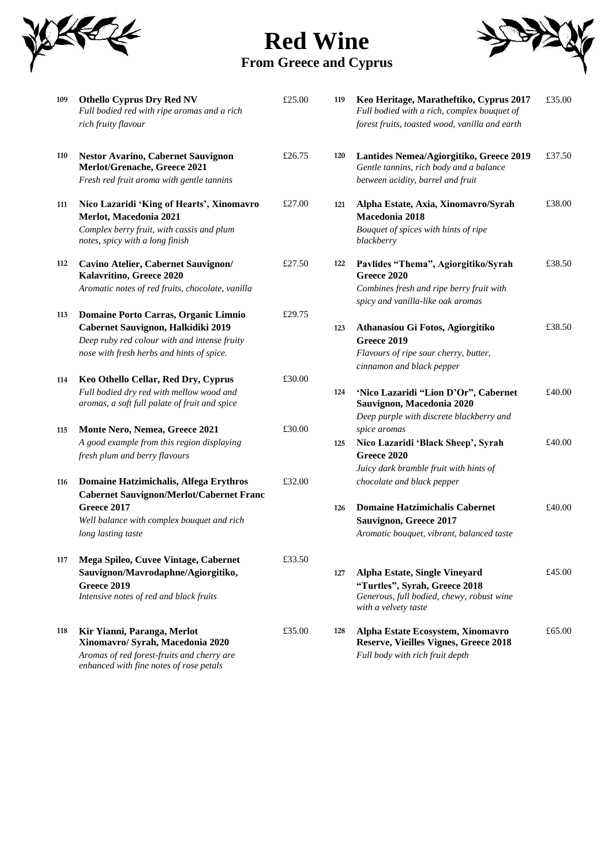

**Red Wine From Greece and Cyprus**



| 109        | <b>Othello Cyprus Dry Red NV</b><br>Full bodied red with ripe aromas and a rich<br>rich fruity flavour                                                      | £25.00           | 119 | Keo Heritage, Maratheftiko, Cyprus 2017<br>Full bodied with a rich, complex bouquet of<br>forest fruits, toasted wood, vanilla and earth   | £35.00 |
|------------|-------------------------------------------------------------------------------------------------------------------------------------------------------------|------------------|-----|--------------------------------------------------------------------------------------------------------------------------------------------|--------|
| 110        | <b>Nestor Avarino, Cabernet Sauvignon</b><br>Merlot/Grenache, Greece 2021<br>Fresh red fruit aroma with gentle tannins                                      | £26.75           | 120 | Lantides Nemea/Agiorgitiko, Greece 2019<br>Gentle tannins, rich body and a balance<br>between acidity, barrel and fruit                    | £37.50 |
| 111        | Nico Lazaridi 'King of Hearts', Xinomavro<br>Merlot, Macedonia 2021<br>Complex berry fruit, with cassis and plum<br>notes, spicy with a long finish         | £27.00           | 121 | Alpha Estate, Axia, Xinomavro/Syrah<br>Macedonia 2018<br>Bouquet of spices with hints of ripe<br>blackberry                                | £38.00 |
| 112<br>113 | Cavino Atelier, Cabernet Sauvignon/<br>Kalavritino, Greece 2020<br>Aromatic notes of red fruits, chocolate, vanilla<br>Domaine Porto Carras, Organic Limnio | £27.50<br>£29.75 | 122 | Pavlides "Thema", Agiorgitiko/Syrah<br><b>Greece 2020</b><br>Combines fresh and ripe berry fruit with<br>spicy and vanilla-like oak aromas | £38.50 |
|            | Cabernet Sauvignon, Halkidiki 2019<br>Deep ruby red colour with and intense fruity<br>nose with fresh herbs and hints of spice.                             |                  | 123 | Athanasiou Gi Fotos, Agiorgitiko<br><b>Greece 2019</b><br>Flavours of ripe sour cherry, butter,<br>cinnamon and black pepper               | £38.50 |
| 114        | Keo Othello Cellar, Red Dry, Cyprus<br>Full bodied dry red with mellow wood and<br>aromas, a soft full palate of fruit and spice                            | £30.00           | 124 | 'Nico Lazaridi "Lion D'Or", Cabernet<br>Sauvignon, Macedonia 2020<br>Deep purple with discrete blackberry and                              | £40.00 |
| 115        | Monte Nero, Nemea, Greece 2021<br>A good example from this region displaying<br>fresh plum and berry flavours                                               | £30.00           | 125 | spice aromas<br>Nico Lazaridi 'Black Sheep', Syrah<br><b>Greece 2020</b><br>Juicy dark bramble fruit with hints of                         | £40.00 |
| 116        | Domaine Hatzimichalis, Alfega Erythros<br><b>Cabernet Sauvignon/Merlot/Cabernet Franc</b>                                                                   | £32.00           |     | chocolate and black pepper                                                                                                                 |        |
|            | Greece 2017<br>Well balance with complex bouquet and rich<br>long lasting taste                                                                             |                  | 126 | <b>Domaine Hatzimichalis Cabernet</b><br>Sauvignon, Greece 2017<br>Aromatic bouquet, vibrant, balanced taste                               | £40.00 |
| 117        | Mega Spileo, Cuvee Vintage, Cabernet<br>Sauvignon/Mavrodaphne/Agiorgitiko,<br><b>Greece 2019</b><br>Intensive notes of red and black fruits                 | £33.50           | 127 | Alpha Estate, Single Vineyard<br>"Turtles", Syrah, Greece 2018<br>Generous, full bodied, chewy, robust wine<br>with a velvety taste        | £45.00 |
| 118        | Kir Yianni, Paranga, Merlot<br>Xinomavro/ Syrah, Macedonia 2020<br>Aromas of red forest-fruits and cherry are<br>enhanced with fine notes of rose petals    | £35.00           | 128 | Alpha Estate Ecosystem, Xinomavro<br><b>Reserve, Vieilles Vignes, Greece 2018</b><br>Full body with rich fruit depth                       | £65.00 |